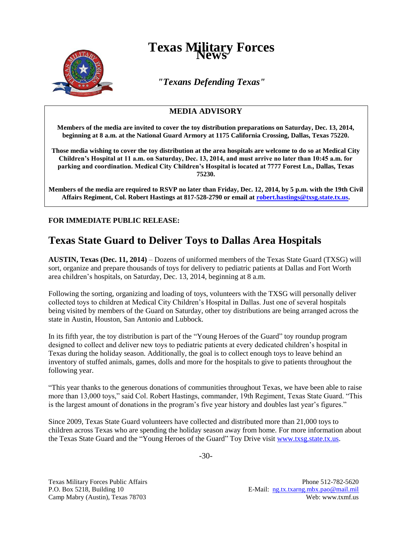

## **Texas Military Forces**

*"Texans Defending Texas"*

## **MEDIA ADVISORY**

**Members of the media are invited to cover the toy distribution preparations on Saturday, Dec. 13, 2014, beginning at 8 a.m. at the National Guard Armory at 1175 California Crossing, Dallas, Texas 75220.**

**Those media wishing to cover the toy distribution at the area hospitals are welcome to do so at Medical City Children's Hospital at 11 a.m. on Saturday, Dec. 13, 2014, and must arrive no later than 10:45 a.m. for parking and coordination. Medical City Children's Hospital is located at 7777 Forest Ln., Dallas, Texas 75230.**

**Members of the media are required to RSVP no later than Friday, Dec. 12, 2014, by 5 p.m. with the 19th Civil Affairs Regiment, Col. Robert Hastings at 817-528-2790 or email at [robert.hastings@txsg.state.tx.us.](mailto:robert.hastings@txsg.state.tx.us)**

**FOR IMMEDIATE PUBLIC RELEASE:**

## **Texas State Guard to Deliver Toys to Dallas Area Hospitals**

**AUSTIN, Texas (Dec. 11, 2014)** – Dozens of uniformed members of the Texas State Guard (TXSG) will sort, organize and prepare thousands of toys for delivery to pediatric patients at Dallas and Fort Worth area children's hospitals, on Saturday, Dec. 13, 2014, beginning at 8 a.m.

Following the sorting, organizing and loading of toys, volunteers with the TXSG will personally deliver collected toys to children at Medical City Children's Hospital in Dallas. Just one of several hospitals being visited by members of the Guard on Saturday, other toy distributions are being arranged across the state in Austin, Houston, San Antonio and Lubbock.

In its fifth year, the toy distribution is part of the "Young Heroes of the Guard" toy roundup program designed to collect and deliver new toys to pediatric patients at every dedicated children's hospital in Texas during the holiday season. Additionally, the goal is to collect enough toys to leave behind an inventory of stuffed animals, games, dolls and more for the hospitals to give to patients throughout the following year.

"This year thanks to the generous donations of communities throughout Texas, we have been able to raise more than 13,000 toys," said Col. Robert Hastings, commander, 19th Regiment, Texas State Guard. "This is the largest amount of donations in the program's five year history and doubles last year's figures."

Since 2009, Texas State Guard volunteers have collected and distributed more than 21,000 toys to children across Texas who are spending the holiday season away from home. For more information about the Texas State Guard and the "Young Heroes of the Guard" Toy Drive visi[t www.txsg.state.tx.us.](http://www.txsg.state.tx.us/)

-30-

Texas Military Forces Public Affairs Phone 512-782-5620